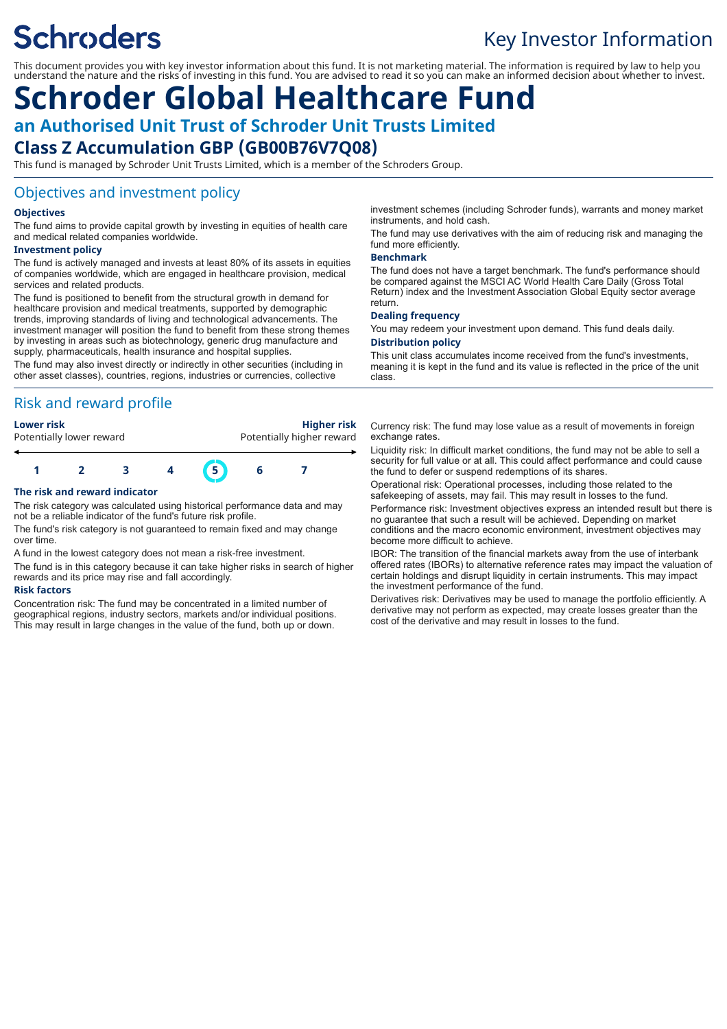# **Schroders**

## Key Investor Information

This document provides you with key investor information about this fund. It is not marketing material. The information is required by law to help you understand the nature and the risks of investing in this fund. You are advised to read it so you can make an informed decision about whether to invest.

## **Schroder Global Healthcare Fund an Authorised Unit Trust of Schroder Unit Trusts Limited**

## **Class Z Accumulation GBP (GB00B76V7Q08)**

This fund is managed by Schroder Unit Trusts Limited, which is a member of the Schroders Group.

## Objectives and investment policy

#### **Objectives**

The fund aims to provide capital growth by investing in equities of health care and medical related companies worldwide.

#### **Investment policy**

The fund is actively managed and invests at least 80% of its assets in equities of companies worldwide, which are engaged in healthcare provision, medical services and related products.

The fund is positioned to benefit from the structural growth in demand for healthcare provision and medical treatments, supported by demographic trends, improving standards of living and technological advancements. The investment manager will position the fund to benefit from these strong themes by investing in areas such as biotechnology, generic drug manufacture and supply, pharmaceuticals, health insurance and hospital supplies.

The fund may also invest directly or indirectly in other securities (including in other asset classes), countries, regions, industries or currencies, collective

### Risk and reward profile

| <b>Lower risk</b>        |  |
|--------------------------|--|
| Potentially lower reward |  |

**Lower risk Higher risk** otentially higher reward



#### **The risk and reward indicator**

The risk category was calculated using historical performance data and may not be a reliable indicator of the fund's future risk profile.

The fund's risk category is not guaranteed to remain fixed and may change over time.

A fund in the lowest category does not mean a risk-free investment.

The fund is in this category because it can take higher risks in search of higher rewards and its price may rise and fall accordingly.

#### **Risk factors**

Concentration risk: The fund may be concentrated in a limited number of geographical regions, industry sectors, markets and/or individual positions. This may result in large changes in the value of the fund, both up or down.

investment schemes (including Schroder funds), warrants and money market instruments, and hold cash.

The fund may use derivatives with the aim of reducing risk and managing the fund more efficiently.

#### **Benchmark**

The fund does not have a target benchmark. The fund's performance should be compared against the MSCI AC World Health Care Daily (Gross Total Return) index and the Investment Association Global Equity sector average return.

#### **Dealing frequency**

You may redeem your investment upon demand. This fund deals daily. **Distribution policy**

This unit class accumulates income received from the fund's investments, meaning it is kept in the fund and its value is reflected in the price of the unit class.

Currency risk: The fund may lose value as a result of movements in foreign exchange rates.

Liquidity risk: In difficult market conditions, the fund may not be able to sell a security for full value or at all. This could affect performance and could cause the fund to defer or suspend redemptions of its shares.

Operational risk: Operational processes, including those related to the safekeeping of assets, may fail. This may result in losses to the fund.

Performance risk: Investment objectives express an intended result but there is no guarantee that such a result will be achieved. Depending on market conditions and the macro economic environment, investment objectives may become more difficult to achieve.

IBOR: The transition of the financial markets away from the use of interbank offered rates (IBORs) to alternative reference rates may impact the valuation of certain holdings and disrupt liquidity in certain instruments. This may impact the investment performance of the fund.

Derivatives risk: Derivatives may be used to manage the portfolio efficiently. A derivative may not perform as expected, may create losses greater than the cost of the derivative and may result in losses to the fund.